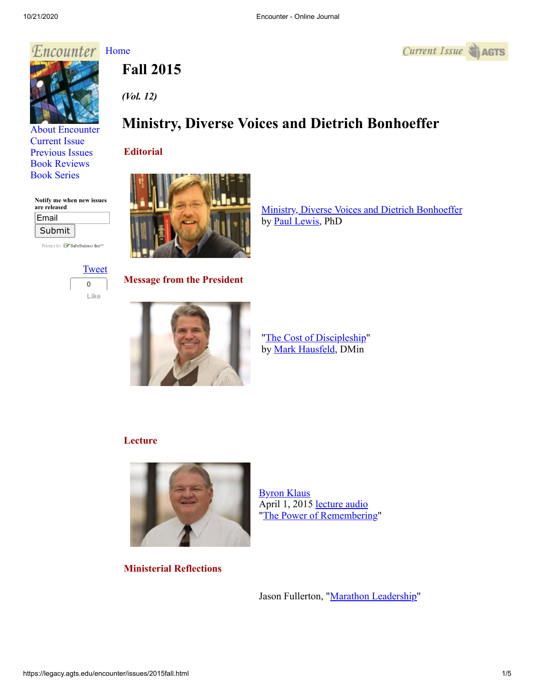## Encounter [Home](http://legacy.agts.edu/encounter/index.htm)





[About Encounter](http://legacy.agts.edu/encounter/about.html) [Current Issue](http://legacy.agts.edu/encounter/current.html) [Previous Issues](http://legacy.agts.edu/encounter/previous.html) [Book Reviews](http://legacy.agts.edu/encounter/book_reviews.html) [Book Series](http://legacy.agts.edu/encounter/resources.html)

**Notify me when new issues**

Privacy by **EV SafeSubscribe**<sup>SM</sup>

**are released** Email Submit

# *(Vol. 12)*

**Fall 2015**

### **Ministry, Diverse Voices and Dietrich Bonhoeffer**

#### **Editorial**



[Ministry, Diverse Voices and Dietrich Bonhoeffer](https://legacy.agts.edu/encounter/articles/2015_Fall/Lewis_editorial_Rev_11_10_2015.pdf) by [Paul Lewis,](https://legacy.agts.edu/faculty/Lewis.html) PhD



**Message from the President**



"[The Cost of Discipleship](https://legacy.agts.edu/encounter/articles/2015_Fall/Hausfeld__The_Cost_of_Discipleship_Rev.pdf)" by [Mark Hausfeld](https://legacy.agts.edu/faculty/hausfeld.html), DMin

#### **Lecture**



[Byron Klaus](https://legacy.agts.edu/faculty/klaus.html) April 1, 2015 [lecture audio](https://legacy.agts.edu/encounter/articles/2015_Fall/2015_04_01_Klaus_HolyWeek.mp3) ["The Power of Remembering](https://legacy.agts.edu/encounter/articles/2015_Fall/Klaus_message__The_Power_of_Remembering_Rev.pdf)"

**Ministerial Reflections**

Jason Fullerton, "[Marathon Leadership](https://legacy.agts.edu/encounter/articles/2015_Fall/Fullerton_Marathon_Leadership_Article_Edited_Rev.pdf)"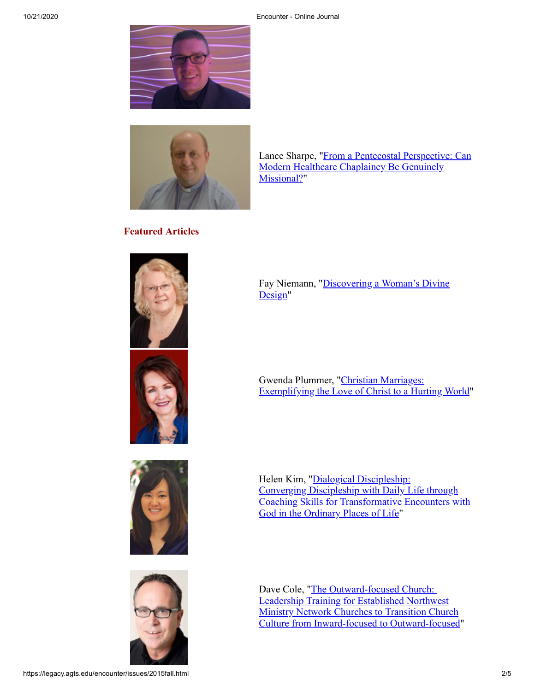



[Lance Sharpe, "From a Pentecostal Perspective: Can](https://legacy.agts.edu/encounter/articles/2015_Fall/Sharpe_Article_Rev.pdf) Modern Healthcare Chaplaincy Be Genuinely Missional?"

#### **Featured Articles**









[Fay Niemann, "Discovering a Woman's Divine](https://legacy.agts.edu/encounter/articles/2015_Fall/Niemann_Discovering_a_Woman%20) Design"

Gwenda Plummer, "Christian Marriages: [Exemplifying the Love of Christ to a Hurting World"](https://legacy.agts.edu/encounter/articles/2015_Fall/Plummer_Article_Rev.pdf)

Helen Kim, "Dialogical Discipleship: Converging Discipleship with Daily Life through [Coaching Skills for Transformative Encounters with](https://legacy.agts.edu/encounter/articles/2015_Fall/Kim_Dialogical_Discipleship_Rev.pdf) God in the Ordinary Places of Life"

Dave Cole, "The Outward-focused Church: Leadership Training for Established Northwest Ministry Network Churches to Transition Church [Culture from Inward-focused to Outward-focused"](https://legacy.agts.edu/encounter/articles/2015_Fall/Cole_Article_Rev.pdf)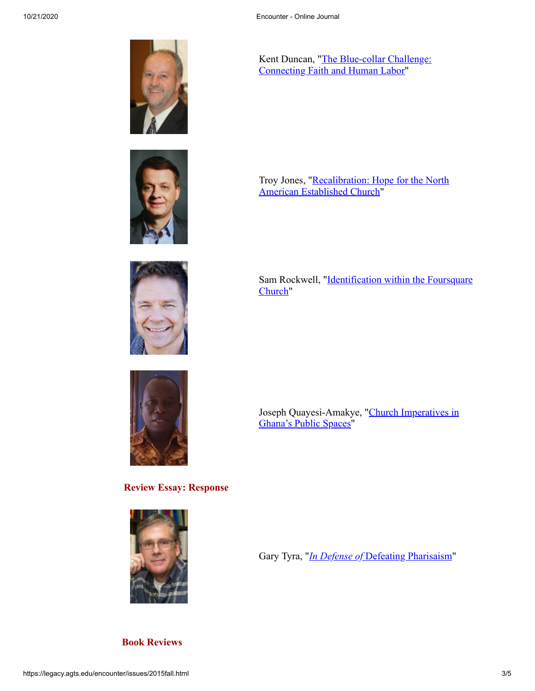





**Review Essay: Response**



[Kent Duncan, "The Blue-collar Challenge:](https://legacy.agts.edu/encounter/articles/2015_Fall/Duncan__The_Blue-Collar_Challenge_Article_Rev.pdf) Connecting Faith and Human Labor"

[Troy Jones, "Recalibration: Hope for the North](https://legacy.agts.edu/encounter/articles/2015_Fall/Jones__Recalibration_Essay_Rev.pdf) American Established Church"

[Sam Rockwell, "Identification within the Foursquare](https://legacy.agts.edu/encounter/articles/2015_Fall/Rockwell_Identification_Within_the_Foursquare_Church_Rev.pdf) Church"

[Joseph Quayesi-Amakye, "Church Imperatives in](https://legacy.agts.edu/encounter/articles/2015_Fall/Church_Imperatives_in_Ghana_Rev.pdf) Ghana's Public Spaces"

Gary Tyra, "*In Defense of* [Defeating Pharisaism"](https://legacy.agts.edu/encounter/articles/2015_Fall/Tyra__InDefense_Of_Defeating_Pharisaism_Final_Rev.pdf)

**Book Reviews**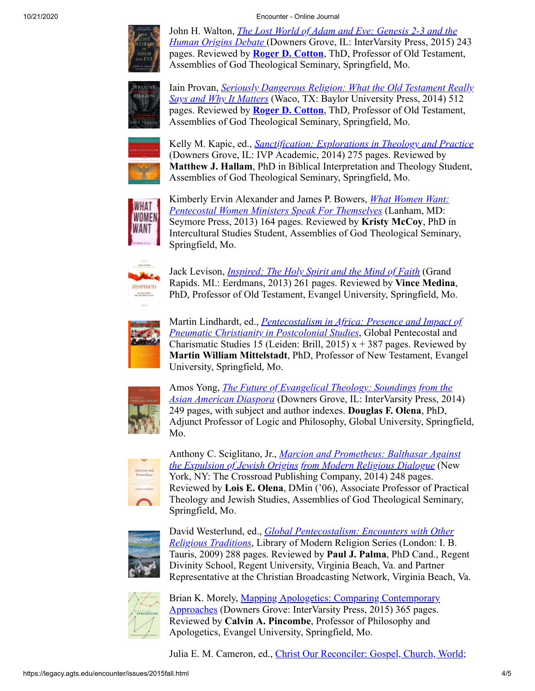10/21/2020 Encounter - Online Journal



John H. Walton, *[The Lost World of Adam and Eve: Genesis 2-3 and the](https://legacy.agts.edu/encounter/book_reviews/2015_Fall/Cotton__Lost_World_of_Adam_and_Eve__%20Book_Review_Rev.pdf) Human Origins Debate* (Downers Grove, IL: InterVarsity Press, 2015) 243 pages. Reviewed by **[Roger D. Cotton](https://legacy.agts.edu/faculty/cotton.html)**, ThD, Professor of Old Testament, Assemblies of God Theological Seminary, Springfield, Mo.



Iain Provan, *[Seriously Dangerous Religion: What the Old Testament Really](https://legacy.agts.edu/encounter/book_reviews/2015_Fall/Cotton__Seriously_Dangerous_Religion__Book_Review_Rev.pdf) Says and Why It Matters* (Waco, TX: Baylor University Press, 2014) 512 pages. Reviewed by **[Roger D. Cotton](https://legacy.agts.edu/faculty/cotton.html)**, ThD, Professor of Old Testament, Assemblies of God Theological Seminary, Springfield, Mo.



Kelly M. Kapic, ed., *[Sanctification: Explorations in Theology and Practice](https://legacy.agts.edu/encounter/book_reviews/2015_Fall/Hallam__Sanctification__Book_review_Rev.pdf)* (Downers Grove, IL: IVP Academic, 2014) 275 pages. Reviewed by **Matthew J. Hallam**, PhD in Biblical Interpretation and Theology Student, Assemblies of God Theological Seminary, Springfield, Mo.



Kimberly Ervin Alexander and James P. Bowers, *What Women Want: [Pentecostal Women Ministers Speak For Themselves](https://legacy.agts.edu/encounter/book_reviews/2015_Fall/McCoy__What_Women_Want__Book_Review_Rev.pdf)* (Lanham, MD: Seymore Press, 2013) 164 pages. Reviewed by **Kristy McCoy**, PhD in Intercultural Studies Student, Assemblies of God Theological Seminary, Springfield, Mo.



Jack Levison, *[Inspired: The Holy Spirit and the Mind of Faith](https://legacy.agts.edu/encounter/book_reviews/2015_Fall/Medina_Inspired_Book_Review_Rev.pdf)* (Grand Rapids. MI.: Eerdmans, 2013) 261 pages. Reviewed by **Vince Medina**, PhD, Professor of Old Testament, Evangel University, Springfield, Mo.



Martin Lindhardt, ed., *[Pentecostalism in Africa: Presence and Impact of](https://legacy.agts.edu/encounter/book_reviews/2015_Fall/Mittelstadt_Pentecostalism_in_Africa__%20Book_Review_Rev.pdf) Pneumatic Christianity in Postcolonial Studies*, Global Pentecostal and Charismatic Studies 15 (Leiden: Brill, 2015)  $x + 387$  pages. Reviewed by **Martin William Mittelstadt**, PhD, Professor of New Testament, Evangel University, Springfield, Mo.



Amos Yong, *[The Future of Evangelical Theology: Soundings from the](https://legacy.agts.edu/encounter/book_reviews/2015_Fall/Olena__Future_of_Evangelical_Theology_BookReview_Rev.pdf) Asian American Diaspora* (Downers Grove, IL: InterVarsity Press, 2014) 249 pages, with subject and author indexes. **Douglas F. Olena**, PhD, Adjunct Professor of Logic and Philosophy, Global University, Springfield, Mo.



Anthony C. Sciglitano, Jr., *Marcion and Prometheus: Balthasar Against [the Expulsion of Jewish Origins from Modern Religious Dialogue](https://legacy.agts.edu/encounter/book_reviews/2015_Fall/Olena__Lois__MarcionandPrometheus_Book_Review_Rev.pdf)* (New York, NY: The Crossroad Publishing Company, 2014) 248 pages. Reviewed by **Lois E. Olena**, DMin ('06), Associate Professor of Practical Theology and Jewish Studies, Assemblies of God Theological Seminary, Springfield, Mo.



David Westerlund, ed., *Global Pentecostalism: Encounters with Other Religious Traditions*[, Library of Modern Religion Series \(London: I. B](https://legacy.agts.edu/encounter/book_reviews/2015_Fall/Palma__Global_Pentecostalism__%20Book_Review_Rev.pdf). Tauris, 2009) 288 pages. Reviewed by **Paul J. Palma**, PhD Cand., Regent Divinity School, Regent University, Virginia Beach, Va. and Partner Representative at the Christian Broadcasting Network, Virginia Beach, Va.



[Brian K. Morely, Mapping Apologetics: Comparing Contemporary](https://legacy.agts.edu/encounter/book_reviews/2015_Fall/Pincombe__Mapping_Apologetics__Book_Review_Rev.pdf) Approaches (Downers Grove: InterVarsity Press, 2015) 365 pages. Reviewed by **Calvin A. Pincombe**, Professor of Philosophy and Apologetics, Evangel University, Springfield, Mo.

[Julia E. M. Cameron, ed., Christ Our Reconciler: Gospel, Church, World;](https://legacy.agts.edu/encounter/book_reviews/2015_Fall/Self__Christ_Our_Reconciler__BookReview_Rev.pdf)